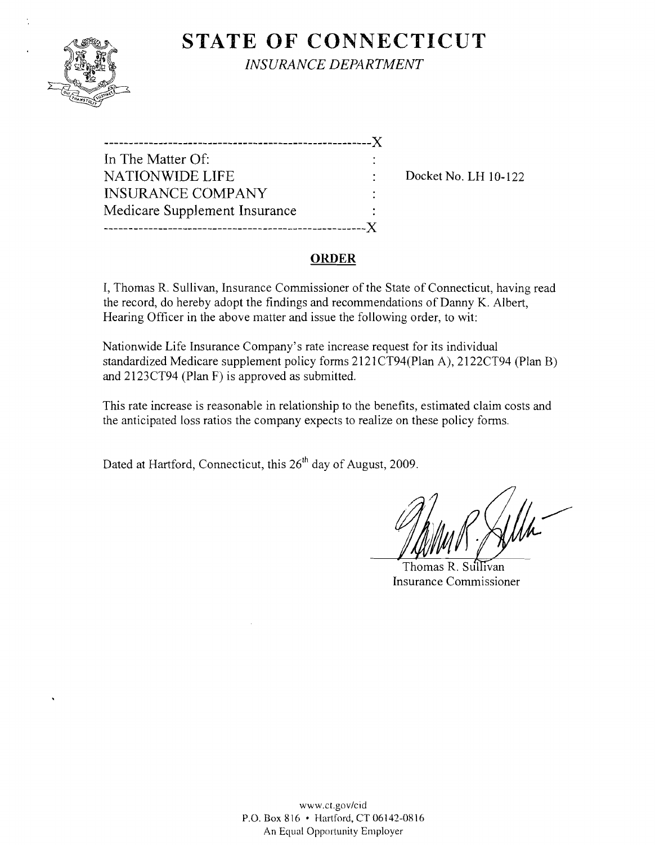

**STATE OF CONNECTICUT** *INSURANCE DEPARTMENT* 

| . _ _ _ _ _ _ _ _ _ _ _ _ _ _ |  |
|-------------------------------|--|
| In The Matter Of:             |  |
| <b>NATIONWIDE LIFE</b>        |  |
| <b>INSURANCE COMPANY</b>      |  |
| Medicare Supplement Insurance |  |
|                               |  |

Docket No. LH 10-122

## **ORDER**

I, Thomas R. Sullivan, Insurance Commissioner of the State of Connecticut, having read the record, do hereby adopt the findings and recommendations of Danny K. Albert, Hearing Officer in the above matter and issue the following order, to wit:

Nationwide Life Insurance Company's rate increase request for its individual standardized Medicare supplement policy forms 2121CT94(Plan A), 2122CT94 (Plan B) and 2123CT94 (Plan F) is approved as submitted.

This rate increase is reasonable in relationship to the benefits, estimated claim costs and the anticipated loss ratios the company expects to realize on these policy forms.

Dated at Hartford, Connecticut, this 26<sup>th</sup> day of August, 2009.

Thomas R. SuI Ivan Insurance Commissioner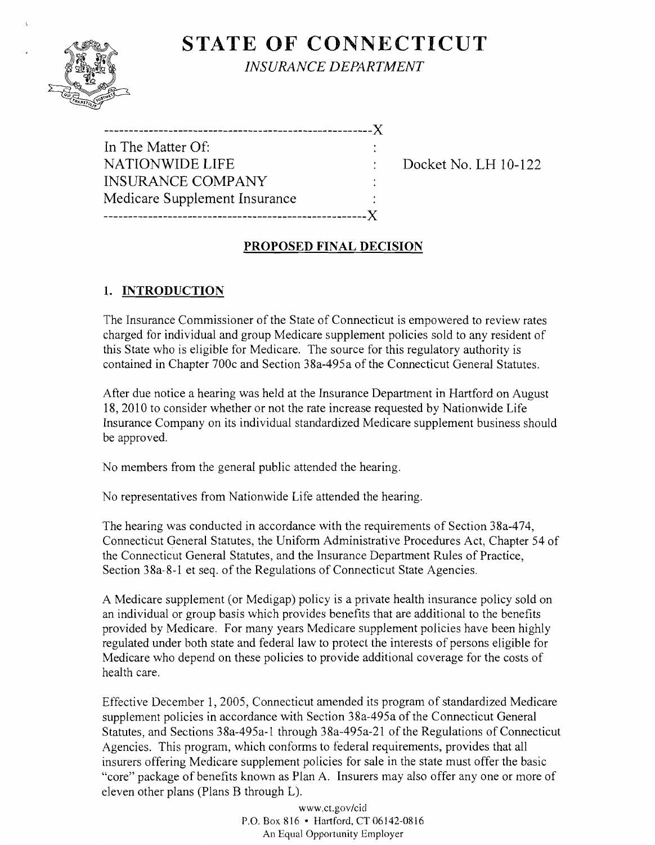# **STATE OF CONNECTICUT**



*INSURANCE DEPARTMENT* 

| --------------------------------X |  |
|-----------------------------------|--|
| In The Matter Of:                 |  |
| <b>NATIONWIDE LIFE</b>            |  |
| <b>INSURANCE COMPANY</b>          |  |
| Medicare Supplement Insurance     |  |
|                                   |  |

Docket No. LH 10-122

## **PROPOSED FINAL DECISION**

## **1. INTRODUCTION**

The Insurance Commissioner of the State of Connecticut is empowered to review rates charged for individual and group Medicare supplement policies sold to any resident of this State who is eligible for Medicare. The source for this regulatory authority is contained in Chapter 700c and Section 38a-495a of the Connecticut General Statutes.

After due notice a hearing was held at the Insurance Department in Hartford on August 18,2010 to consider whether or not the rate increase requested by Nationwide Life Insurance Company on its individual standardized Medicare supplement business should be approved.

No members from the general public attended the hearing.

No representatives from Nationwide Life attended the hearing.

The hearing was conducted in accordance with the requirements of Section 38a-474, Connecticut General Statutes, the Uniform Administrative Procedures Act, Chapter 54 of the Connecticut General Statutes, and the Insurance Department Rules of Practice, Section 38a-8-1 et seq. of the Regulations of Connecticut State Agencies.

A Medicare supplement (or Medigap) policy is a private health insurance policy sold on an individual or group basis which provides benefits that are additional to the benefits provided by Medicare. For many years Medicare supplement policies have been highly regulated under both state and federal law to protect the interests of persons eligible for Medicare who depend on these policies to provide additional coverage for the costs of health care.

Effective December 1, 2005, Connecticut amended its program of standardized Medicare supplement policies in accordance with Section 38a-495a of the Connecticut General Statutes, and Sections 38a-495a-l through 38a-495a-21 of the Regulations of Connecticut Agencies. This program, which conforms to federal requirements, provides that all insurers offering Medicare supplement policies for sale in the state must offer the basic "core" package of benefits known as Plan A. Insurers may also offer anyone or more of eleven other plans (Plans B through L).

> www.ct.gov/cicl P.O. Box 816 • Hartford, CT 06142-0816 An Equal Opportunity Employer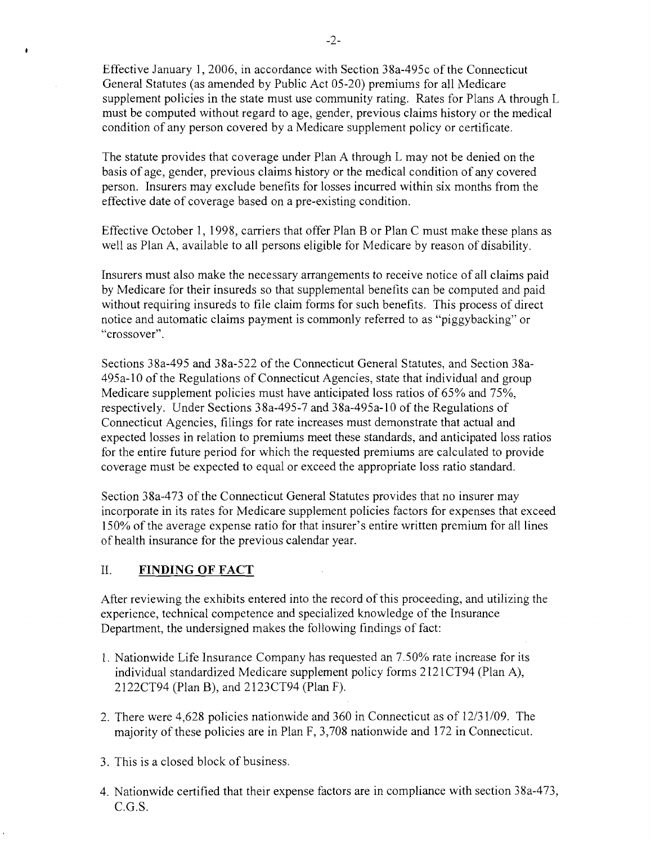Effective January 1,2006, in accordance with Section 38a-495c of the Connecticut General Statutes (as amended by Public Act 05-20) premiums for all Medicare supplement policies in the state must use community rating. Rates for Plans A through L must be computed without regard to age, gender, previous claims history or the medical condition of any person covered by a Medicare supplement policy or certificate.

The statute provides that coverage under Plan A through L may not be denied on the basis of age, gender, previous claims history or the medical condition of any covered person. Insurers may exclude benefits for losses incurred within six months from the effective date of coverage based on a pre-existing condition.

Effective October 1, 1998, carriers that offer Plan B or Plan C must make these plans as well as Plan A, available to all persons eligible for Medicare by reason of disability.

Insurers must also make the necessary arrangements to receive notice of all claims paid by Medicare for their insureds so that supplemental benefits can be computed and paid without requiring insureds to file claim forms for such benefits. This process of direct notice and automatic claims payment is commonly referred to as "piggybacking" or "crossover".

Sections 38a-495 and 38a-522 of the Connecticut General Statutes, and Section 38a-495a-lO of the Regulations of Connecticut Agencies, state that individual and group Medicare supplement policies must have anticipated loss ratios of 65% and 75%, respectively. Under Sections 38a-495-7 and 38a-495a-lO of the Regulations of Connecticut Agencies, filings for rate increases must demonstrate that actual and expected losses in relation to premiums meet these standards, and anticipated loss ratios for the entire future period for which the requested premiums are calculated to provide coverage must be expected to equal or exceed the appropriate loss ratio standard.

Section 38a-473 of the Connecticut General Statutes provides that no insurer may incorporate in its rates for Medicare supplement policies factors for expenses that exceed 150% of the average expense ratio for that insurer's entire written premium for all lines of health insurance for the previous calendar year.

### II. **FINDING OF FACT**

After reviewing the exhibits entered into the record of this proceeding, and utilizing the experience, technical competence and specialized knowledge of the Insurance Department, the undersigned makes the following findings of fact:

- 1. Nationwide Life Insurance Company has requested an 7.50% rate increase for its individual standardized Medicare supplement policy forms 2121 CT94 (Plan A), 2l22CT94 (Plan B), and 2123CT94 (Plan F).
- 2. There were  $4,628$  policies nationwide and 360 in Connecticut as of  $12/31/09$ . The majority of these policies are in Plan F, 3,708 nationwide and 172 in Connecticut.
- 3. This is a closed block of business.
- 4. Nationwide certified that their expense factors are in compliance with section 38a-473,  $C.G.S.$